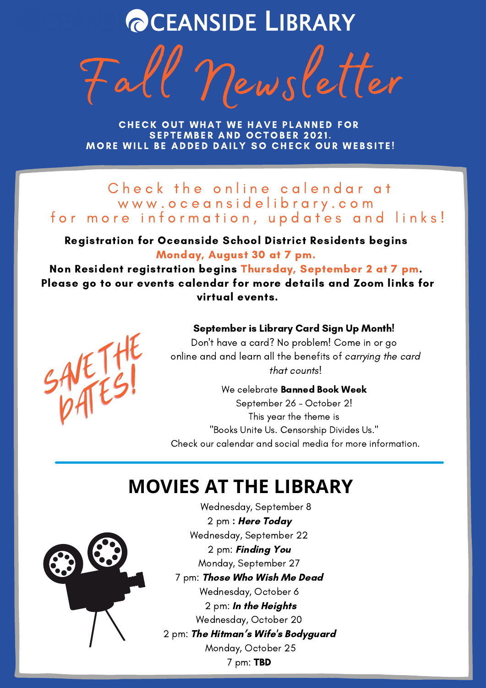# **@CEANSIDE LIBRARY**

Fall Newsletter

CHECK OUT WHAT WE HAVE PLANNED FOR SEPTEMBER AND OCTOBER 2021. MORE WILL BE ADDED DAILY SO CHECK OUR WEBSITE!

Check the online calendar at www.oceansidelibrary.com for more information, updates and links!

Registration for Oceanside School District Residents begins Monday, August 30 at 7 pm.

Non Resident registration begins Thursday, September 2 at 7 pm. Please go to our events calendar for more details and Zoom links for virtual events.



#### September is Library Card Sign Up Month!

Don't have a card? No problem! Come in or go online and and learn all the benefits of carrying the card that counts!

We celebrate **Banned Book Week** September 26 - October 2! This year the theme is "Books Unite Us. Censorship Divides Us." Check our calendar and social media for more information.

# **MOVIES AT THE LIBRARY**



Wednesday, September 8 2 pm : Here Today Wednesday, September 22 2 pm: Finding You Monday, September 27 7 pm: Those Who Wish Me Dead Wednesday, October 6 2 pm: In the Heights Wednesday, October 20 2 pm: The Hitman's Wife's Bodyguard Monday, October 25 7 pm: TBD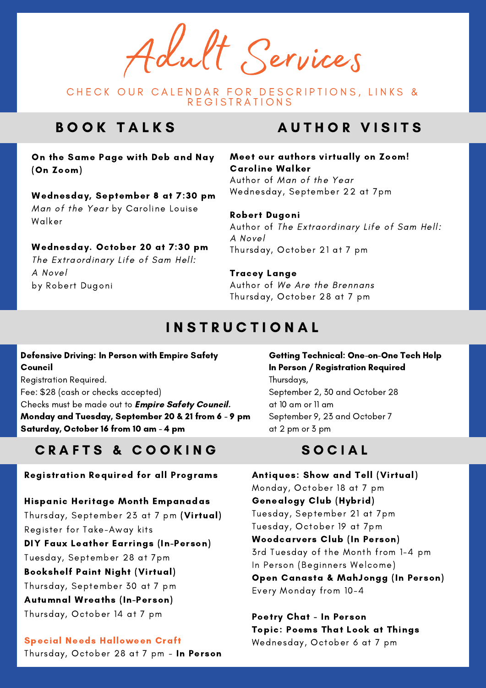Adult Services

CHECK OUR CALENDAR FOR DESCRIPTIONS, LINKS & **REGISTRATIONS** 

## B O O K T A L K S

On the Same Page with Deb and Nay (On Zoom)

Wednesday, September 8 at 7:30 pm Man of the Year by Caroline Louise Walker

#### Wednesday. October 20 at 7:30 pm

The Extraordinary Life of Sam Hell: A Novel by Robert Dugoni

## **AUTHOR VISITS**

#### Meet our authors virtually on Zoom! Caroline Walker Author of Man of the Year

Wednesday, September 22 at 7pm

#### Robert Dugoni

Author of The Extraordinary Life of Sam Hell: A Novel Thursday, October 21 at 7 pm

#### Tracey Lange

Author of We Are the Brennans Thursday, October 28 at 7 pm

### I N S T R U C T I O N A L

#### Defensive Driving: In Person with Empire Safety Council

Registration Required. Fee: \$28 (cash or checks accepted) Checks must be made out to *Empire Safety Council.* Monday and Tuesday, September 20 & 21 from 6 - 9 pm Saturday, October 16 from 10 am - 4 pm

### CRAFTS & COOKING

#### Registration Required for all Programs

Hispanic Heritage Month Empanadas Thursday, September 23 at 7 pm (Virtual) Register for Take-Away kits DIY Faux Leather Earrings (In-Person) Tuesday, September 28 at 7pm Bookshelf Paint Night (Virtual) Thursday, September 30 at 7 pm Autumnal Wreaths (In-Person) Thursday, October 14 at 7 pm

#### Special Needs Halloween Craft

Thursday, October 28 at 7 pm - In Person

Getting Technical: One-on-One Tech Help In Person / Registration Required Thursdays, September 2, 30 and October 28 at 10 am or 11 am September 9, 23 and October 7 at 2 pm or 3 pm

### S O C I A L

Antiques: Show and Tell (Virtual) Monday, October 18 at 7 pm Genealogy Club (Hybrid) Tuesday, September 21 at 7pm Tuesday, October 19 at 7pm Woodcarvers Club (In Person) 3rd Tuesday of the Month from 1-4 pm In Person (Beginners Welcome) Open Canasta & MahJongg (In Person) Every Monday from 10-4

Poetry Chat - In Person Topic: Poems That Look at Things Wednesday, October 6 at 7 pm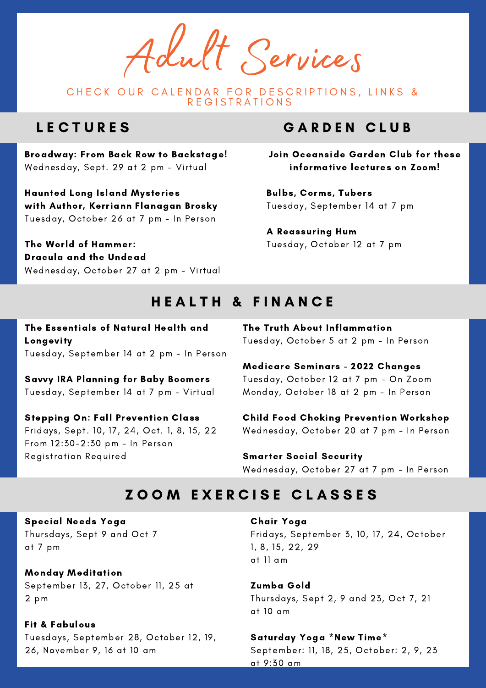Adult Services

CHECK OUR CALENDAR FOR DESCRIPTIONS, LINKS & R E G I S T R A T I O N S

### **LECTURES**

Broadway: From Back Row to Backstage! Wednesday, Sept. 29 at 2 pm - Virtual

Haunted Long Island Mysteries with Author, Kerriann Flanagan Brosky Tuesday, October 26 at 7 pm - In Person

The World of Hammer: Dracula and the Undead Wednesday, October 27 at 2 pm - Virtual

### GARDEN CLUB

Join Oceanside Garden Club for these informative lectures on Zoom!

Bulbs, Corms, Tubers Tuesday, September 14 at 7 pm

A Reassuring Hum Tuesday, October 12 at 7 pm

### HEALTH & FINANCE

The Essentials of Natural Health and Longevity Tuesday, September 14 at 2 pm - In Person

Savvy IRA Planning for Baby Boomers Tuesday, September 14 at 7 pm - Virtual

Stepping On: Fall Prevention Class Fridays, Sept. 10, 17, 24, Oct. 1, 8, 15, 22 From 12:30-2:30 pm - In Person Registration Required

The Truth About Inflammation Tuesday, October 5 at 2 pm - In Person

Medicare Seminars - 2022 Changes Tuesday, October 12 at 7 pm - On Zoom Monday, October 18 at 2 pm - In Person

Child Food Choking Prevention Workshop Wednesday, October 20 at 7 pm - In Person

Smarter Social Security Wednesday, October 27 at 7 pm - In Person

### ZOOM EXERCISE CLASSES

Special Needs Yoga Thursdays, Sept 9 and Oct 7 at 7 pm

Monday Meditation September 13, 27, October 11, 25 at 2 pm

Fit & Fabulous Tuesdays, September 28, October 12, 19, 26, November 9, 16 at 10 am

Chair Yoga Fridays, September 3, 10, 17, 24, October 1, 8, 15, 22, 29 at 11 am

Zumba Gold Thursdays, Sept 2, 9 and 23, Oct 7, 21 at 10 am

Saturday Yoga \*New Time\* September: 11, 18, 25, October: 2, 9, 23 at 9:30 am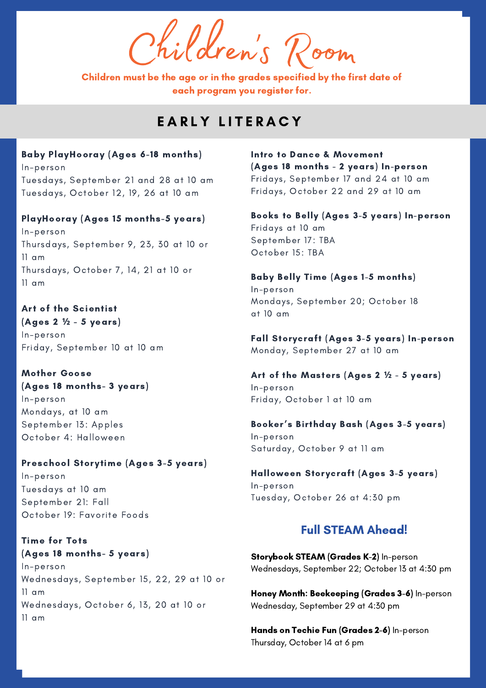Children'  $\int\limits_{\mathsf{les}}\mathsf{geom}$ 

Children must be the age or in the grades specified by the first date of each program you register for.

### EARLY LITERACY

Baby PlayHooray (Ages 6-18 months) In-person Tuesdays, September 21 and 28 at 10 am Tuesdays, October 12, 19, 26 at 10 am

PlayHooray (Ages 15 months-5 years)

In-person Thursdays, September 9, 23, 30 at 10 or 11 am Thursdays, October 7, 14, 21 at 10 or 11 am

Art of the Scientist (Ages 2 **½** - 5 years) In-person Friday, September 10 at 10 am

Mother Goose (Ages 18 months- 3 years) In-person Mondays, at 10 am September 13: Apples October 4: Halloween

Preschool Storytime (Ages 3-5 years) In-person Tuesdays at 10 am September 21: Fall October 19: Favorite Foods

Time for Tots (Ages 18 months- 5 years) In-person Wednesdays, September 15, 22, 29 at 10 or 11 am Wednesdays, October 6, 13, 20 at 10 or 11 am

Intro to Dance & Movement (Ages 18 months - 2 years) In-person Fridays, September 17 and 24 at 10 am Fridays, October 22 and 29 at 10 am

Books to Belly (Ages 3-5 years) In-person Fridays at 10 am September 17: TBA October 15: TBA

Baby Belly Time (Ages 1-5 months) In-person Mondays, September 20; October 18 at 10 am

Fall Storycraft (Ages 3-5 years) In-person Monday, September 27 at 10 am

Art of the Masters (Ages 2 **½** - 5 years) In-person Friday, October 1 at 10 am

Booker's Birthday Bash (Ages 3-5 years) In-person Saturday, October 9 at 11 am

Halloween Storycraft (Ages 3-5 years) In-person Tuesday, October 26 at 4:30 pm

### Full STEAM Ahead!

Storybook STEAM (Grades K-2) In-person Wednesdays, September 22; October 13 at 4:30 pm

Honey Month: Beekeeping (Grades 3-6) In-person Wednesday, September 29 at 4:30 pm

Hands on Techie Fun (Grades 2-6) In-person Thursday, October 14 at 6 pm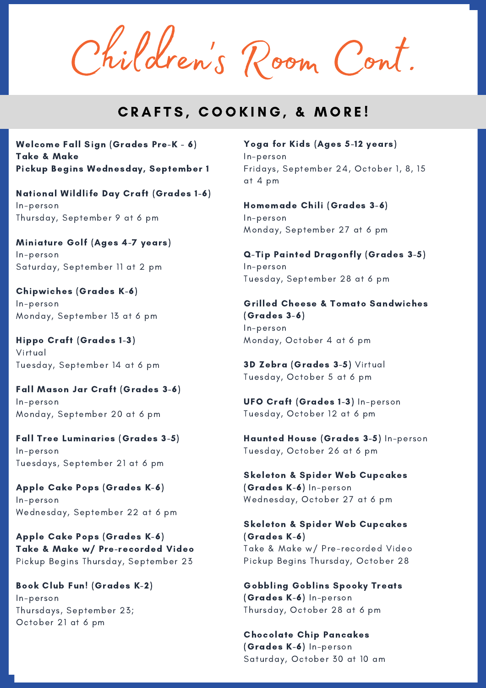Children 's Room Cont.

### CRAFTS, COOKING, & MORE!

Welcome Fall Sign (Grades Pre-K - 6) Take & Make Pickup Begins Wednesday, September 1

National Wildlife Day Craft (Grades 1-6) In-person Thursday, September 9 at 6 pm

Miniature Golf (Ages 4-7 years) In-person Saturday, September 11 at 2 pm

Chipwiches (Grades K-6) In-person Monday, September 13 at 6 pm

Hippo Craft (Grades 1-3) Virtual Tuesday, September 14 at 6 pm

Fall Mason Jar Craft (Grades 3-6) In-person Monday, September 20 at 6 pm

Fall Tree Luminaries (Grades 3-5) In-person Tuesdays, September 21 at 6 pm

Apple Cake Pops (Grades K-6) In-person Wednesday, September 22 at 6 pm

Apple Cake Pops (Grades K-6) Take & Make w/ Pre-recorded Video Pickup Begins Thursday, September 23

Book Club Fun! (Grades K-2) In-person Thursdays, September 23; October 21 at 6 pm

Yoga for Kids (Ages 5-12 years) In-person Fridays, September 24, October 1, 8, 15 at 4 pm

Homemade Chili (Grades 3-6) In-person Monday, September 27 at 6 pm

Q-Tip Painted Dragonfly (Grades 3-5) In-person Tuesday, September 28 at 6 pm

Grilled Cheese & Tomato Sandwiches (Grades 3-6) In-person Monday, October 4 at 6 pm

3D Zebra (Grades 3-5) Virtual Tuesday, October 5 at 6 pm

UFO Craft (Grades 1-3) In-person Tuesday, October 12 at 6 pm

Haunted House (Grades 3-5) In-person Tuesday, October 26 at 6 pm

Skeleton & Spider Web Cupcakes (Grades K-6) In-person Wednesday, October 27 at 6 pm

Skeleton & Spider Web Cupcakes (Grades K-6) Take & Make w/ Pre-recorded Video Pickup Begins Thursday, October 28

Gobbling Goblins Spooky Treats (Grades K-6) In-person Thursday, October 28 at 6 pm

Chocolate Chip Pancakes (Grades K-6) In-person Saturday, October 30 at 10 am